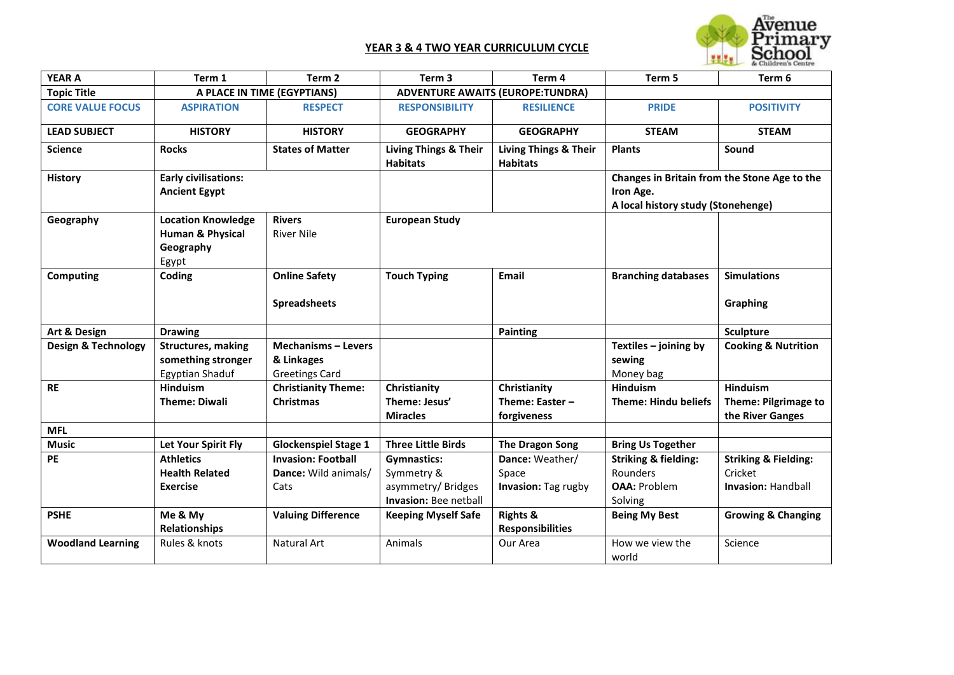## **YEAR 3 & 4 TWO YEAR CURRICULUM CYCLE**



| <b>YEAR A</b>                  | Term 1                                                                         | Term 2                                                            | Term <sub>3</sub>                                                              | Term 4                                              | Term 5                                                                                          | Term 6                                                                  |
|--------------------------------|--------------------------------------------------------------------------------|-------------------------------------------------------------------|--------------------------------------------------------------------------------|-----------------------------------------------------|-------------------------------------------------------------------------------------------------|-------------------------------------------------------------------------|
| <b>Topic Title</b>             | A PLACE IN TIME (EGYPTIANS)                                                    |                                                                   |                                                                                | <b>ADVENTURE AWAITS (EUROPE:TUNDRA)</b>             |                                                                                                 |                                                                         |
| <b>CORE VALUE FOCUS</b>        | <b>ASPIRATION</b>                                                              | <b>RESPECT</b>                                                    | <b>RESPONSIBILITY</b>                                                          | <b>RESILIENCE</b>                                   | <b>PRIDE</b>                                                                                    | <b>POSITIVITY</b>                                                       |
| <b>LEAD SUBJECT</b>            | <b>HISTORY</b>                                                                 | <b>HISTORY</b>                                                    | <b>GEOGRAPHY</b>                                                               | <b>GEOGRAPHY</b>                                    | <b>STEAM</b>                                                                                    | <b>STEAM</b>                                                            |
| <b>Science</b>                 | <b>Rocks</b>                                                                   | <b>States of Matter</b>                                           | <b>Living Things &amp; Their</b><br><b>Habitats</b>                            | <b>Living Things &amp; Their</b><br><b>Habitats</b> | <b>Plants</b>                                                                                   | Sound                                                                   |
| <b>History</b>                 | <b>Early civilisations:</b><br><b>Ancient Egypt</b>                            |                                                                   |                                                                                |                                                     | Changes in Britain from the Stone Age to the<br>Iron Age.<br>A local history study (Stonehenge) |                                                                         |
| Geography                      | <b>Location Knowledge</b><br><b>Human &amp; Physical</b><br>Geography<br>Egypt | <b>Rivers</b><br><b>River Nile</b>                                | <b>European Study</b>                                                          |                                                     |                                                                                                 |                                                                         |
| Computing                      | Coding                                                                         | <b>Online Safety</b><br><b>Spreadsheets</b>                       | <b>Touch Typing</b>                                                            | Email                                               | <b>Branching databases</b>                                                                      | <b>Simulations</b><br>Graphing                                          |
| Art & Design                   | <b>Drawing</b>                                                                 |                                                                   |                                                                                | <b>Painting</b>                                     |                                                                                                 | <b>Sculpture</b>                                                        |
| <b>Design &amp; Technology</b> | <b>Structures, making</b><br>something stronger<br><b>Egyptian Shaduf</b>      | <b>Mechanisms - Levers</b><br>& Linkages<br><b>Greetings Card</b> |                                                                                |                                                     | Textiles - joining by<br>sewing<br>Money bag                                                    | <b>Cooking &amp; Nutrition</b>                                          |
| <b>RE</b>                      | Hinduism<br><b>Theme: Diwali</b>                                               | <b>Christianity Theme:</b><br><b>Christmas</b>                    | Christianity<br>Theme: Jesus'<br><b>Miracles</b>                               | Christianity<br>Theme: Easter -<br>forgiveness      | Hinduism<br><b>Theme: Hindu beliefs</b>                                                         | Hinduism<br><b>Theme: Pilgrimage to</b><br>the River Ganges             |
| <b>MFL</b>                     |                                                                                |                                                                   |                                                                                |                                                     |                                                                                                 |                                                                         |
| <b>Music</b>                   | <b>Let Your Spirit Fly</b>                                                     | <b>Glockenspiel Stage 1</b>                                       | <b>Three Little Birds</b>                                                      | The Dragon Song                                     | <b>Bring Us Together</b>                                                                        |                                                                         |
| PE                             | <b>Athletics</b><br><b>Health Related</b><br><b>Exercise</b>                   | <b>Invasion: Football</b><br>Dance: Wild animals/<br>Cats         | <b>Gymnastics:</b><br>Symmetry &<br>asymmetry/Bridges<br>Invasion: Bee netball | Dance: Weather/<br>Space<br>Invasion: Tag rugby     | <b>Striking &amp; fielding:</b><br>Rounders<br><b>OAA: Problem</b><br>Solving                   | <b>Striking &amp; Fielding:</b><br>Cricket<br><b>Invasion: Handball</b> |
| <b>PSHE</b>                    | Me & My<br><b>Relationships</b>                                                | <b>Valuing Difference</b>                                         | <b>Keeping Myself Safe</b>                                                     | <b>Rights &amp;</b><br><b>Responsibilities</b>      | <b>Being My Best</b>                                                                            | <b>Growing &amp; Changing</b>                                           |
| <b>Woodland Learning</b>       | Rules & knots                                                                  | Natural Art                                                       | Animals                                                                        | Our Area                                            | How we view the<br>world                                                                        | Science                                                                 |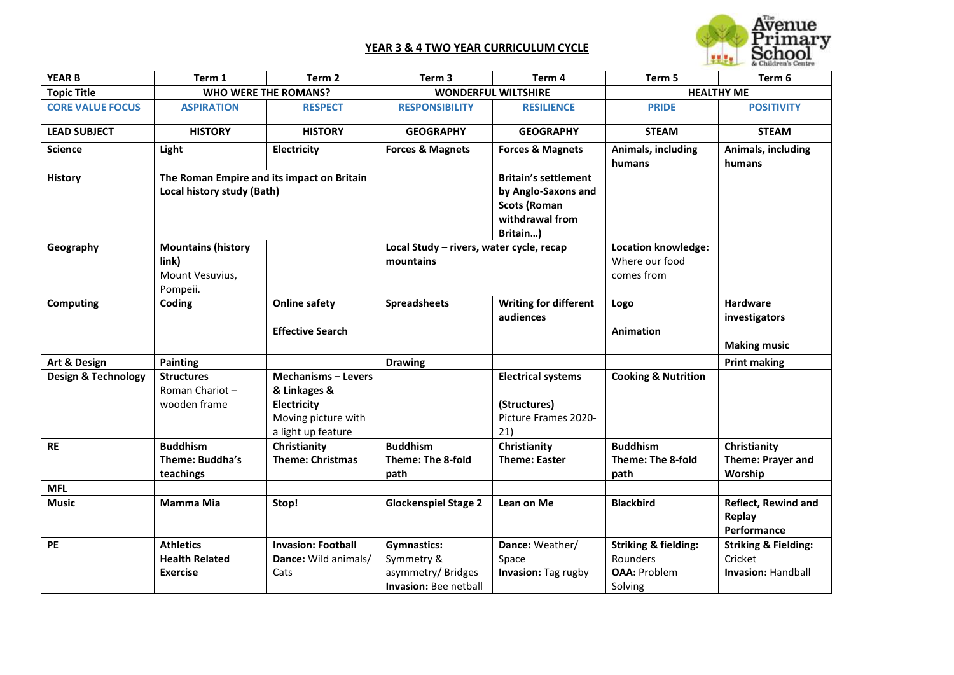## **YEAR 3 & 4 TWO YEAR CURRICULUM CYCLE**



| <b>YEAR B</b>           | Term 1                                     | Term <sub>2</sub>           | Term <sub>3</sub>                        | Term 4                       | Term 5                          | Term 6                          |
|-------------------------|--------------------------------------------|-----------------------------|------------------------------------------|------------------------------|---------------------------------|---------------------------------|
| <b>Topic Title</b>      |                                            | <b>WHO WERE THE ROMANS?</b> | <b>WONDERFUL WILTSHIRE</b>               |                              | <b>HEALTHY ME</b>               |                                 |
| <b>CORE VALUE FOCUS</b> | <b>ASPIRATION</b>                          | <b>RESPECT</b>              | <b>RESPONSIBILITY</b>                    | <b>RESILIENCE</b>            | <b>PRIDE</b>                    | <b>POSITIVITY</b>               |
| <b>LEAD SUBJECT</b>     | <b>HISTORY</b>                             | <b>HISTORY</b>              | <b>GEOGRAPHY</b>                         | <b>GEOGRAPHY</b>             | <b>STEAM</b>                    | <b>STEAM</b>                    |
| <b>Science</b>          | Light                                      | Electricity                 | <b>Forces &amp; Magnets</b>              | <b>Forces &amp; Magnets</b>  | Animals, including              | Animals, including              |
|                         |                                            |                             |                                          |                              | humans                          | humans                          |
| <b>History</b>          | The Roman Empire and its impact on Britain |                             |                                          | <b>Britain's settlement</b>  |                                 |                                 |
|                         | Local history study (Bath)                 |                             |                                          | by Anglo-Saxons and          |                                 |                                 |
|                         |                                            |                             |                                          | <b>Scots (Roman</b>          |                                 |                                 |
|                         |                                            |                             |                                          | withdrawal from              |                                 |                                 |
|                         |                                            |                             |                                          | Britain)                     |                                 |                                 |
| Geography               | <b>Mountains (history</b>                  |                             | Local Study - rivers, water cycle, recap |                              | <b>Location knowledge:</b>      |                                 |
|                         | link)                                      |                             | mountains                                |                              | Where our food                  |                                 |
|                         | Mount Vesuvius,                            |                             |                                          |                              | comes from                      |                                 |
|                         | Pompeii.                                   |                             |                                          |                              |                                 |                                 |
| Computing               | Coding                                     | <b>Online safety</b>        | <b>Spreadsheets</b>                      | <b>Writing for different</b> | Logo                            | <b>Hardware</b>                 |
|                         |                                            |                             |                                          | audiences                    |                                 | investigators                   |
|                         |                                            | <b>Effective Search</b>     |                                          |                              | <b>Animation</b>                |                                 |
|                         |                                            |                             |                                          |                              |                                 | <b>Making music</b>             |
| Art & Design            | <b>Painting</b>                            |                             | <b>Drawing</b>                           |                              |                                 | <b>Print making</b>             |
| Design & Technology     | <b>Structures</b>                          | <b>Mechanisms - Levers</b>  |                                          | <b>Electrical systems</b>    | <b>Cooking &amp; Nutrition</b>  |                                 |
|                         | Roman Chariot-                             | & Linkages &                |                                          |                              |                                 |                                 |
|                         | wooden frame                               | Electricity                 |                                          | (Structures)                 |                                 |                                 |
|                         |                                            | Moving picture with         |                                          | Picture Frames 2020-         |                                 |                                 |
|                         |                                            | a light up feature          |                                          | 21)                          |                                 |                                 |
| <b>RE</b>               | <b>Buddhism</b>                            | Christianity                | <b>Buddhism</b>                          | Christianity                 | <b>Buddhism</b>                 | Christianity                    |
|                         | Theme: Buddha's                            | <b>Theme: Christmas</b>     | Theme: The 8-fold                        | <b>Theme: Easter</b>         | Theme: The 8-fold               | <b>Theme: Prayer and</b>        |
|                         | teachings                                  |                             | path                                     |                              | path                            | Worship                         |
| <b>MFL</b>              |                                            |                             |                                          |                              |                                 |                                 |
| <b>Music</b>            | <b>Mamma Mia</b>                           | Stop!                       | <b>Glockenspiel Stage 2</b>              | Lean on Me                   | <b>Blackbird</b>                | Reflect, Rewind and             |
|                         |                                            |                             |                                          |                              |                                 | Replay                          |
|                         |                                            |                             |                                          |                              |                                 | Performance                     |
| PE                      | <b>Athletics</b>                           | <b>Invasion: Football</b>   | <b>Gymnastics:</b>                       | Dance: Weather/              | <b>Striking &amp; fielding:</b> | <b>Striking &amp; Fielding:</b> |
|                         | <b>Health Related</b>                      | Dance: Wild animals/        | Symmetry &                               | Space                        | Rounders                        | Cricket                         |
|                         | <b>Exercise</b>                            | Cats                        | asymmetry/Bridges                        | Invasion: Tag rugby          | <b>OAA: Problem</b>             | <b>Invasion: Handball</b>       |
|                         |                                            |                             | <b>Invasion: Bee netball</b>             |                              | Solving                         |                                 |